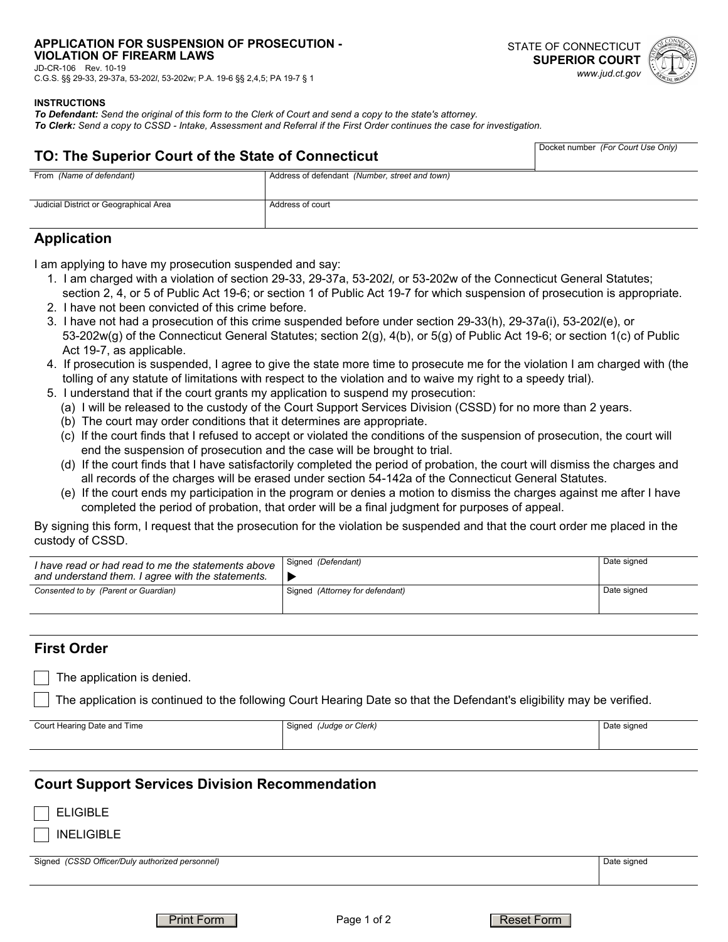## **APPLICATION FOR SUSPENSION OF PROSECUTION -**

**VIOLATION OF FIREARM LAWS**  JD-CR-106 Rev. 10-19

C.G.S. §§ 29-33, 29-37a, 53-202*l*, 53-202w; P.A. 19-6 §§ 2,4,5; PA 19-7 § 1



#### **INSTRUCTIONS**

*To Defendant: Send the original of this form to the Clerk of Court and send a copy to the state's attorney. To Clerk: Send a copy to CSSD - Intake, Assessment and Referral if the First Order continues the case for investigation.*

# **TO: The Superior Court of the State of Connecticut**

| Docket number (For Court Use Only) |
|------------------------------------|
|                                    |

| From (Name of defendant)               | Address of defendant (Number, street and town) |  |
|----------------------------------------|------------------------------------------------|--|
|                                        |                                                |  |
|                                        |                                                |  |
|                                        |                                                |  |
| Judicial District or Geographical Area | Address of court                               |  |
|                                        |                                                |  |
|                                        |                                                |  |

### **Application**

I am applying to have my prosecution suspended and say:

- 1. I am charged with a violation of section 29-33, 29-37a, 53-202*l,* or 53-202w of the Connecticut General Statutes; section 2, 4, or 5 of Public Act 19-6; or section 1 of Public Act 19-7 for which suspension of prosecution is appropriate.
- 2. I have not been convicted of this crime before.
- 3. I have not had a prosecution of this crime suspended before under section 29-33(h), 29-37a(i), 53-202*l*(e), or 53-202w(g) of the Connecticut General Statutes; section 2(g), 4(b), or 5(g) of Public Act 19-6; or section 1(c) of Public Act 19-7, as applicable.
- 4. If prosecution is suspended, I agree to give the state more time to prosecute me for the violation I am charged with (the tolling of any statute of limitations with respect to the violation and to waive my right to a speedy trial).
- 5. I understand that if the court grants my application to suspend my prosecution:
	- (a) I will be released to the custody of the Court Support Services Division (CSSD) for no more than 2 years.
	- (b) The court may order conditions that it determines are appropriate.
	- (c) If the court finds that I refused to accept or violated the conditions of the suspension of prosecution, the court will end the suspension of prosecution and the case will be brought to trial.
	- (d) If the court finds that I have satisfactorily completed the period of probation, the court will dismiss the charges and all records of the charges will be erased under section 54-142a of the Connecticut General Statutes.
	- (e) If the court ends my participation in the program or denies a motion to dismiss the charges against me after I have completed the period of probation, that order will be a final judgment for purposes of appeal.

By signing this form, I request that the prosecution for the violation be suspended and that the court order me placed in the custody of CSSD.

| I have read or had read to me the statements above<br>and understand them. I agree with the statements. | Signed (Defendant)              | Date signed |
|---------------------------------------------------------------------------------------------------------|---------------------------------|-------------|
| Consented to by (Parent or Guardian)                                                                    | Signed (Attorney for defendant) | Date signed |

#### **First Order**

The application is denied.

The application is continued to the following Court Hearing Date so that the Defendant's eligibility may be verified.

Court Hearing Date and Time Signed *(Judge or Clerk)* Signed *(Judge or Clerk)* Date signed

## **Court Support Services Division Recommendation**

ELIGIBLE

INELIGIBLE

Signed *(CSSD Officer/Duly authorized personnel)* Date signed